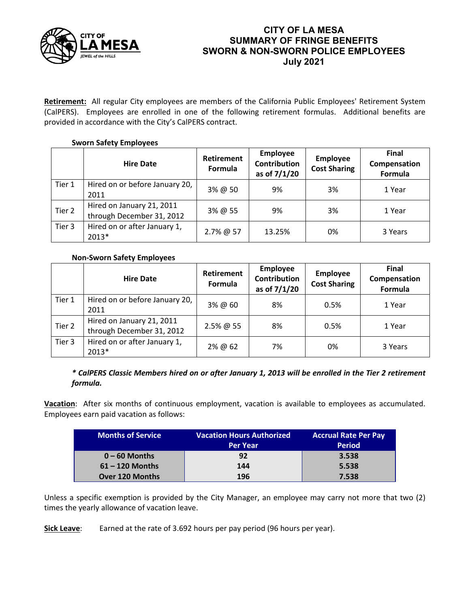

# **CITY OF LA MESA SUMMARY OF FRINGE BENEFITS SWORN & NON-SWORN POLICE EMPLOYEES July 2021**

**Retirement:** All regular City employees are members of the California Public Employees' Retirement System (CalPERS). Employees are enrolled in one of the following retirement formulas. Additional benefits are provided in accordance with the City's CalPERS contract.

## **Sworn Safety Employees**

|        | <b>Hire Date</b>                                       | Retirement<br>Formula | <b>Employee</b><br><b>Contribution</b><br>as of 7/1/20 | <b>Employee</b><br><b>Cost Sharing</b> | <b>Final</b><br>Compensation<br>Formula |
|--------|--------------------------------------------------------|-----------------------|--------------------------------------------------------|----------------------------------------|-----------------------------------------|
| Tier 1 | Hired on or before January 20,<br>2011                 | 3% @ 50               | 9%                                                     | 3%                                     | 1 Year                                  |
| Tier 2 | Hired on January 21, 2011<br>through December 31, 2012 | 3% @ 55               | 9%                                                     | 3%                                     | 1 Year                                  |
| Tier 3 | Hired on or after January 1,<br>2013*                  | 2.7% @ 57             | 13.25%                                                 | 0%                                     | 3 Years                                 |

## **Non-Sworn Safety Employees**

|        | <b>Hire Date</b>                                       | Retirement<br>Formula | <b>Employee</b><br><b>Contribution</b><br>as of 7/1/20 | <b>Employee</b><br><b>Cost Sharing</b> | <b>Final</b><br>Compensation<br>Formula |
|--------|--------------------------------------------------------|-----------------------|--------------------------------------------------------|----------------------------------------|-----------------------------------------|
| Tier 1 | Hired on or before January 20,<br>2011                 | 3% @ 60               | 8%                                                     | 0.5%                                   | 1 Year                                  |
| Tier 2 | Hired on January 21, 2011<br>through December 31, 2012 | $2.5\%$ @ 55          | 8%                                                     | 0.5%                                   | 1 Year                                  |
| Tier 3 | Hired on or after January 1,<br>2013*                  | 2% @ 62               | 7%                                                     | 0%                                     | 3 Years                                 |

## *\* CalPERS Classic Members hired on or after January 1, 2013 will be enrolled in the Tier 2 retirement formula.*

**Vacation**: After six months of continuous employment, vacation is available to employees as accumulated. Employees earn paid vacation as follows:

| <b>Months of Service</b> | <b>Vacation Hours Authorized</b> | <b>Accrual Rate Per Pay</b> |  |  |
|--------------------------|----------------------------------|-----------------------------|--|--|
|                          | <b>Per Year</b>                  | <b>Period</b>               |  |  |
| $0 - 60$ Months          | 92                               | 3.538                       |  |  |
| $61 - 120$ Months        | 144                              | 5.538                       |  |  |
| <b>Over 120 Months</b>   | 196                              | 7.538                       |  |  |

Unless a specific exemption is provided by the City Manager, an employee may carry not more that two (2) times the yearly allowance of vacation leave.

**Sick Leave**: Earned at the rate of 3.692 hours per pay period (96 hours per year).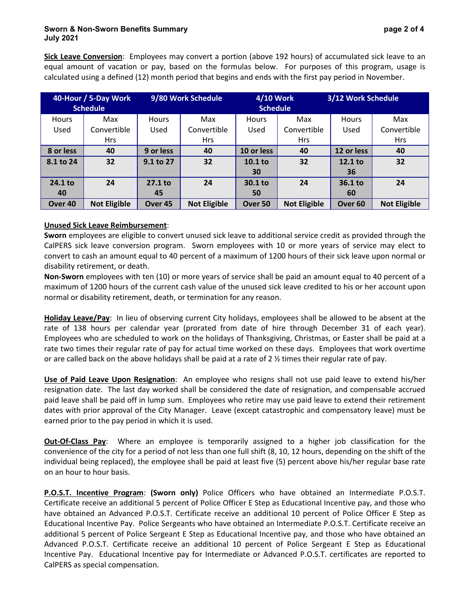### **Sworn & Non-Sworn Benefits Summary page 2 of 4 July 2021**

**Sick Leave Conversion**: Employees may convert a portion (above 192 hours) of accumulated sick leave to an equal amount of vacation or pay, based on the formulas below. For purposes of this program, usage is calculated using a defined (12) month period that begins and ends with the first pay period in November.

| 40-Hour / 5-Day Work |                     | 9/80 Work Schedule |                     | 4/10 Work          |                     | 3/12 Work Schedule |                     |
|----------------------|---------------------|--------------------|---------------------|--------------------|---------------------|--------------------|---------------------|
|                      | <b>Schedule</b>     |                    |                     | <b>Schedule</b>    |                     |                    |                     |
| <b>Hours</b>         | Max                 | <b>Hours</b>       | Max                 | Hours              | Max                 | <b>Hours</b>       | Max                 |
| Used                 | Convertible         | Used               | Convertible         | Used               | Convertible         | Used               | Convertible         |
|                      | <b>Hrs</b>          |                    | <b>Hrs</b>          |                    | <b>Hrs</b>          |                    | <b>Hrs</b>          |
| 8 or less            | 40                  | 9 or less          | 40                  | 10 or less         | 40                  | 12 or less         | 40                  |
| 8.1 to 24            | 32                  | 9.1 to 27          | 32                  | 10.1 <sub>to</sub> | 32                  | $12.1$ to          | 32                  |
|                      |                     |                    |                     | 30                 |                     | 36                 |                     |
| 24.1 to              | 24                  | $27.1$ to          | 24                  | 30.1 <sub>to</sub> | 24                  | $36.1$ to          | 24                  |
| 40                   |                     | 45                 |                     | 50                 |                     | 60                 |                     |
| Over <sub>40</sub>   | <b>Not Eligible</b> | Over <sub>45</sub> | <b>Not Eligible</b> | Over 50            | <b>Not Eligible</b> | Over <sub>60</sub> | <b>Not Eligible</b> |

### **Unused Sick Leave Reimbursement**:

**Sworn** employees are eligible to convert unused sick leave to additional service credit as provided through the CalPERS sick leave conversion program. Sworn employees with 10 or more years of service may elect to convert to cash an amount equal to 40 percent of a maximum of 1200 hours of their sick leave upon normal or disability retirement, or death.

**Non-Sworn** employees with ten (10) or more years of service shall be paid an amount equal to 40 percent of a maximum of 1200 hours of the current cash value of the unused sick leave credited to his or her account upon normal or disability retirement, death, or termination for any reason.

**Holiday Leave/Pay**: In lieu of observing current City holidays, employees shall be allowed to be absent at the rate of 138 hours per calendar year (prorated from date of hire through December 31 of each year). Employees who are scheduled to work on the holidays of Thanksgiving, Christmas, or Easter shall be paid at a rate two times their regular rate of pay for actual time worked on these days. Employees that work overtime or are called back on the above holidays shall be paid at a rate of 2 ½ times their regular rate of pay.

**Use of Paid Leave Upon Resignation**: An employee who resigns shall not use paid leave to extend his/her resignation date. The last day worked shall be considered the date of resignation, and compensable accrued paid leave shall be paid off in lump sum. Employees who retire may use paid leave to extend their retirement dates with prior approval of the City Manager. Leave (except catastrophic and compensatory leave) must be earned prior to the pay period in which it is used.

**Out-Of-Class Pay**: Where an employee is temporarily assigned to a higher job classification for the convenience of the city for a period of not less than one full shift (8, 10, 12 hours, depending on the shift of the individual being replaced), the employee shall be paid at least five (5) percent above his/her regular base rate on an hour to hour basis.

**P.O.S.T. Incentive Program**: **(Sworn only)** Police Officers who have obtained an Intermediate P.O.S.T. Certificate receive an additional 5 percent of Police Officer E Step as Educational Incentive pay, and those who have obtained an Advanced P.O.S.T. Certificate receive an additional 10 percent of Police Officer E Step as Educational Incentive Pay. Police Sergeants who have obtained an Intermediate P.O.S.T. Certificate receive an additional 5 percent of Police Sergeant E Step as Educational Incentive pay, and those who have obtained an Advanced P.O.S.T. Certificate receive an additional 10 percent of Police Sergeant E Step as Educational Incentive Pay. Educational Incentive pay for Intermediate or Advanced P.O.S.T. certificates are reported to CalPERS as special compensation.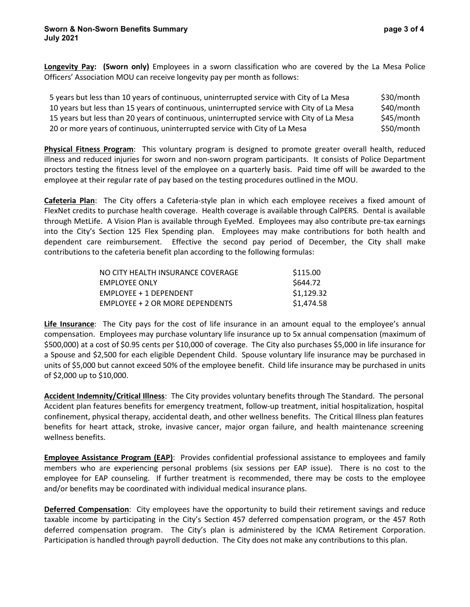**Longevity Pay: (Sworn only)** Employees in a sworn classification who are covered by the La Mesa Police Officers' Association MOU can receive longevity pay per month as follows:

| 5 years but less than 10 years of continuous, uninterrupted service with City of La Mesa  | \$30/month |
|-------------------------------------------------------------------------------------------|------------|
| 10 years but less than 15 years of continuous, uninterrupted service with City of La Mesa | \$40/month |
| 15 years but less than 20 years of continuous, uninterrupted service with City of La Mesa | \$45/month |
| 20 or more years of continuous, uninterrupted service with City of La Mesa                | \$50/month |

**Physical Fitness Program**: This voluntary program is designed to promote greater overall health, reduced illness and reduced injuries for sworn and non-sworn program participants. It consists of Police Department proctors testing the fitness level of the employee on a quarterly basis. Paid time off will be awarded to the employee at their regular rate of pay based on the testing procedures outlined in the MOU.

**Cafeteria Plan**: The City offers a Cafeteria-style plan in which each employee receives a fixed amount of FlexNet credits to purchase health coverage. Health coverage is available through CalPERS. Dental is available through MetLife. A Vision Plan is available through EyeMed. Employees may also contribute pre-tax earnings into the City's Section 125 Flex Spending plan. Employees may make contributions for both health and dependent care reimbursement. Effective the second pay period of December, the City shall make contributions to the cafeteria benefit plan according to the following formulas:

| NO CITY HEALTH INSURANCE COVERAGE      | \$115.00   |
|----------------------------------------|------------|
| <b>EMPLOYEE ONLY</b>                   | \$644.72   |
| <b>EMPLOYEE + 1 DEPENDENT</b>          | \$1,129.32 |
| <b>EMPLOYEE + 2 OR MORE DEPENDENTS</b> | \$1,474.58 |

**Life Insurance**: The City pays for the cost of life insurance in an amount equal to the employee's annual compensation. Employees may purchase voluntary life insurance up to 5x annual compensation (maximum of \$500,000) at a cost of \$0.95 cents per \$10,000 of coverage. The City also purchases \$5,000 in life insurance for a Spouse and \$2,500 for each eligible Dependent Child. Spouse voluntary life insurance may be purchased in units of \$5,000 but cannot exceed 50% of the employee benefit. Child life insurance may be purchased in units of \$2,000 up to \$10,000.

**Accident Indemnity/Critical Illness**: The City provides voluntary benefits through The Standard. The personal Accident plan features benefits for emergency treatment, follow-up treatment, initial hospitalization, hospital confinement, physical therapy, accidental death, and other wellness benefits. The Critical Illness plan features benefits for heart attack, stroke, invasive cancer, major organ failure, and health maintenance screening wellness benefits.

**Employee Assistance Program (EAP)**: Provides confidential professional assistance to employees and family members who are experiencing personal problems (six sessions per EAP issue). There is no cost to the employee for EAP counseling. If further treatment is recommended, there may be costs to the employee and/or benefits may be coordinated with individual medical insurance plans.

**Deferred Compensation**: City employees have the opportunity to build their retirement savings and reduce taxable income by participating in the City's Section 457 deferred compensation program, or the 457 Roth deferred compensation program. The City's plan is administered by the ICMA Retirement Corporation. Participation is handled through payroll deduction. The City does not make any contributions to this plan.